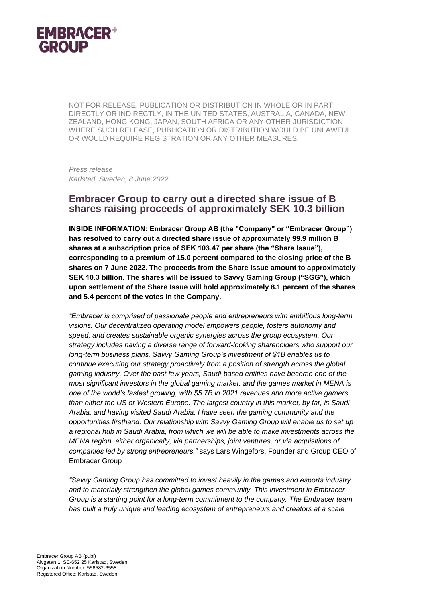

*Press release Karlstad, Sweden, 8 June 2022*

# **Embracer Group to carry out a directed share issue of B shares raising proceeds of approximately SEK 10.3 billion**

**INSIDE INFORMATION: Embracer Group AB (the "Company" or "Embracer Group") has resolved to carry out a directed share issue of approximately 99.9 million B shares at a subscription price of SEK 103.47 per share (the "Share Issue"), corresponding to a premium of 15.0 percent compared to the closing price of the B shares on 7 June 2022. The proceeds from the Share Issue amount to approximately SEK 10.3 billion. The shares will be issued to Savvy Gaming Group ("SGG"), which upon settlement of the Share Issue will hold approximately 8.1 percent of the shares and 5.4 percent of the votes in the Company.**

*"Embracer is comprised of passionate people and entrepreneurs with ambitious long-term visions. Our decentralized operating model empowers people, fosters autonomy and speed, and creates sustainable organic synergies across the group ecosystem. Our strategy includes having a diverse range of forward-looking shareholders who support our long-term business plans. Savvy Gaming Group's investment of \$1B enables us to continue executing our strategy proactively from a position of strength across the global gaming industry. Over the past few years, Saudi-based entities have become one of the most significant investors in the global gaming market, and the games market in MENA is one of the world's fastest growing, with \$5.7B in 2021 revenues and more active gamers than either the US or Western Europe. The largest country in this market, by far, is Saudi Arabia, and having visited Saudi Arabia, I have seen the gaming community and the opportunities firsthand. Our relationship with Savvy Gaming Group will enable us to set up a regional hub in Saudi Arabia, from which we will be able to make investments across the MENA region, either organically, via partnerships, joint ventures, or via acquisitions of companies led by strong entrepreneurs."* says Lars Wingefors, Founder and Group CEO of Embracer Group

*"Savvy Gaming Group has committed to invest heavily in the games and esports industry and to materially strengthen the global games community. This investment in Embracer Group is a starting point for a long-term commitment to the company. The Embracer team has built a truly unique and leading ecosystem of entrepreneurs and creators at a scale*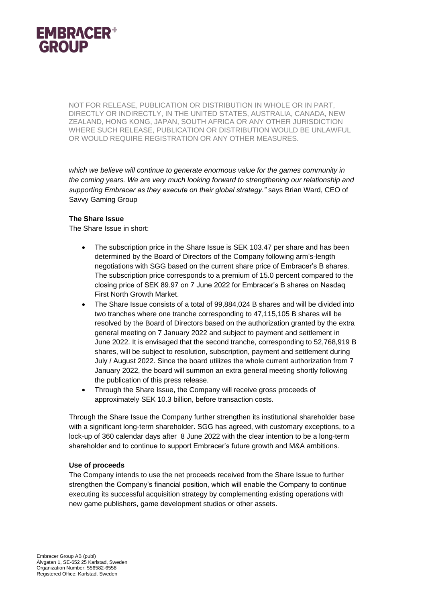

which we believe will continue to generate enormous value for the games community in *the coming years. We are very much looking forward to strengthening our relationship and supporting Embracer as they execute on their global strategy."* says Brian Ward, CEO of Savvy Gaming Group

# **The Share Issue**

The Share Issue in short:

- The subscription price in the Share Issue is SEK 103.47 per share and has been determined by the Board of Directors of the Company following arm's-length negotiations with SGG based on the current share price of Embracer's B shares. The subscription price corresponds to a premium of 15.0 percent compared to the closing price of SEK 89.97 on 7 June 2022 for Embracer's B shares on Nasdaq First North Growth Market.
- The Share Issue consists of a total of 99,884,024 B shares and will be divided into two tranches where one tranche corresponding to 47,115,105 B shares will be resolved by the Board of Directors based on the authorization granted by the extra general meeting on 7 January 2022 and subject to payment and settlement in June 2022. It is envisaged that the second tranche, corresponding to 52,768,919 B shares, will be subject to resolution, subscription, payment and settlement during July / August 2022. Since the board utilizes the whole current authorization from 7 January 2022, the board will summon an extra general meeting shortly following the publication of this press release.
- Through the Share Issue, the Company will receive gross proceeds of approximately SEK 10.3 billion, before transaction costs.

Through the Share Issue the Company further strengthen its institutional shareholder base with a significant long-term shareholder. SGG has agreed, with customary exceptions, to a lock-up of 360 calendar days after 8 June 2022 with the clear intention to be a long-term shareholder and to continue to support Embracer's future growth and M&A ambitions.

#### **Use of proceeds**

The Company intends to use the net proceeds received from the Share Issue to further strengthen the Company's financial position, which will enable the Company to continue executing its successful acquisition strategy by complementing existing operations with new game publishers, game development studios or other assets.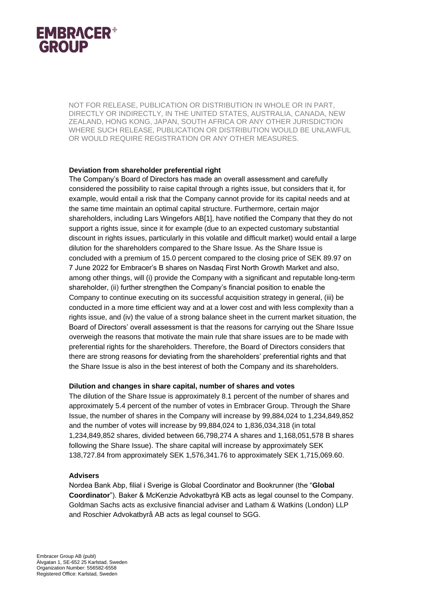

# **Deviation from shareholder preferential right**

The Company's Board of Directors has made an overall assessment and carefully considered the possibility to raise capital through a rights issue, but considers that it, for example, would entail a risk that the Company cannot provide for its capital needs and at the same time maintain an optimal capital structure. Furthermore, certain major shareholders, including Lars Wingefors AB[1], have notified the Company that they do not support a rights issue, since it for example (due to an expected customary substantial discount in rights issues, particularly in this volatile and difficult market) would entail a large dilution for the shareholders compared to the Share Issue. As the Share Issue is concluded with a premium of 15.0 percent compared to the closing price of SEK 89.97 on 7 June 2022 for Embracer's B shares on Nasdaq First North Growth Market and also, among other things, will (i) provide the Company with a significant and reputable long-term shareholder, (ii) further strengthen the Company's financial position to enable the Company to continue executing on its successful acquisition strategy in general, (iii) be conducted in a more time efficient way and at a lower cost and with less complexity than a rights issue, and (iv) the value of a strong balance sheet in the current market situation, the Board of Directors' overall assessment is that the reasons for carrying out the Share Issue overweigh the reasons that motivate the main rule that share issues are to be made with preferential rights for the shareholders. Therefore, the Board of Directors considers that there are strong reasons for deviating from the shareholders' preferential rights and that the Share Issue is also in the best interest of both the Company and its shareholders.

# **Dilution and changes in share capital, number of shares and votes**

The dilution of the Share Issue is approximately 8.1 percent of the number of shares and approximately 5.4 percent of the number of votes in Embracer Group. Through the Share Issue, the number of shares in the Company will increase by 99,884,024 to 1,234,849,852 and the number of votes will increase by 99,884,024 to 1,836,034,318 (in total 1,234,849,852 shares, divided between 66,798,274 A shares and 1,168,051,578 B shares following the Share Issue). The share capital will increase by approximately SEK 138,727.84 from approximately SEK 1,576,341.76 to approximately SEK 1,715,069.60.

#### **Advisers**

Nordea Bank Abp, filial i Sverige is Global Coordinator and Bookrunner (the "**Global Coordinator**"). Baker & McKenzie Advokatbyrå KB acts as legal counsel to the Company. Goldman Sachs acts as exclusive financial adviser and Latham & Watkins (London) LLP and Roschier Advokatbyrå AB acts as legal counsel to SGG.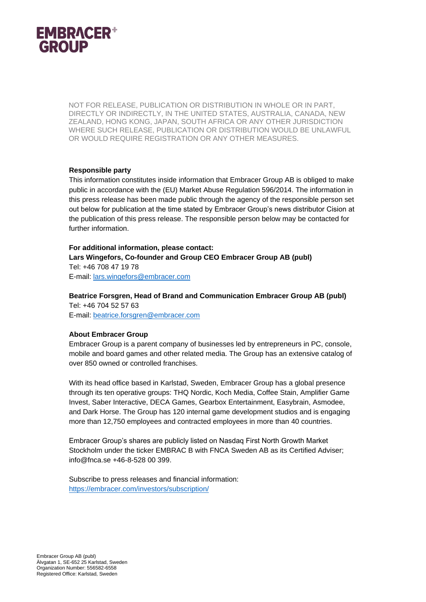

# **Responsible party**

This information constitutes inside information that Embracer Group AB is obliged to make public in accordance with the (EU) Market Abuse Regulation 596/2014. The information in this press release has been made public through the agency of the responsible person set out below for publication at the time stated by Embracer Group's news distributor Cision at the publication of this press release. The responsible person below may be contacted for further information.

**For additional information, please contact: Lars Wingefors, Co-founder and Group CEO Embracer Group AB (publ)** Tel: +46 708 47 19 78 E-mail: [lars.wingefors@embracer.com](mailto:lars.wingefors@embracer.com)

**Beatrice Forsgren, Head of Brand and Communication Embracer Group AB (publ)** Tel: +46 704 52 57 63 E-mail: [beatrice.forsgren@embracer.com](mailto:beatrice.forsgren@embracer.com)

# **About Embracer Group**

Embracer Group is a parent company of businesses led by entrepreneurs in PC, console, mobile and board games and other related media. The Group has an extensive catalog of over 850 owned or controlled franchises.

With its head office based in Karlstad, Sweden, Embracer Group has a global presence through its ten operative groups: THQ Nordic, Koch Media, Coffee Stain, Amplifier Game Invest, Saber Interactive, DECA Games, Gearbox Entertainment, Easybrain, Asmodee, and Dark Horse. The Group has 120 internal game development studios and is engaging more than 12,750 employees and contracted employees in more than 40 countries.

Embracer Group's shares are publicly listed on Nasdaq First North Growth Market Stockholm under the ticker EMBRAC B with FNCA Sweden AB as its Certified Adviser; info@fnca.se +46-8-528 00 399.

Subscribe to press releases and financial information: <https://embracer.com/investors/subscription/>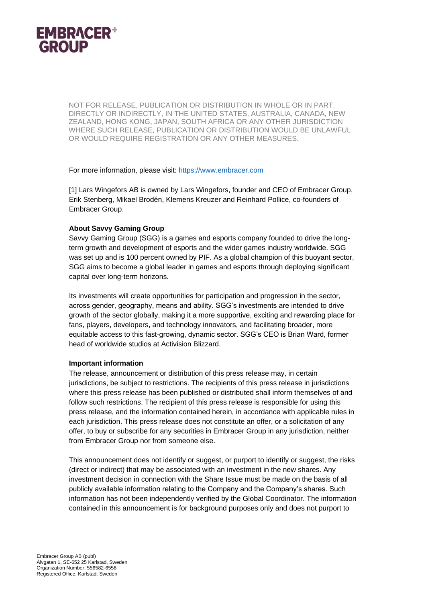

# For more information, please visit: [https://www.embracer.com](https://www.embracer.com/)

[1] Lars Wingefors AB is owned by Lars Wingefors, founder and CEO of Embracer Group, Erik Stenberg, Mikael Brodén, Klemens Kreuzer and Reinhard Pollice, co-founders of Embracer Group.

# **About Savvy Gaming Group**

Savvy Gaming Group (SGG) is a games and esports company founded to drive the longterm growth and development of esports and the wider games industry worldwide. SGG was set up and is 100 percent owned by PIF. As a global champion of this buoyant sector, SGG aims to become a global leader in games and esports through deploying significant capital over long-term horizons.

Its investments will create opportunities for participation and progression in the sector, across gender, geography, means and ability. SGG's investments are intended to drive growth of the sector globally, making it a more supportive, exciting and rewarding place for fans, players, developers, and technology innovators, and facilitating broader, more equitable access to this fast-growing, dynamic sector. SGG's CEO is Brian Ward, former head of worldwide studios at Activision Blizzard.

# **Important information**

The release, announcement or distribution of this press release may, in certain jurisdictions, be subject to restrictions. The recipients of this press release in jurisdictions where this press release has been published or distributed shall inform themselves of and follow such restrictions. The recipient of this press release is responsible for using this press release, and the information contained herein, in accordance with applicable rules in each jurisdiction. This press release does not constitute an offer, or a solicitation of any offer, to buy or subscribe for any securities in Embracer Group in any jurisdiction, neither from Embracer Group nor from someone else.

This announcement does not identify or suggest, or purport to identify or suggest, the risks (direct or indirect) that may be associated with an investment in the new shares. Any investment decision in connection with the Share Issue must be made on the basis of all publicly available information relating to the Company and the Company's shares. Such information has not been independently verified by the Global Coordinator. The information contained in this announcement is for background purposes only and does not purport to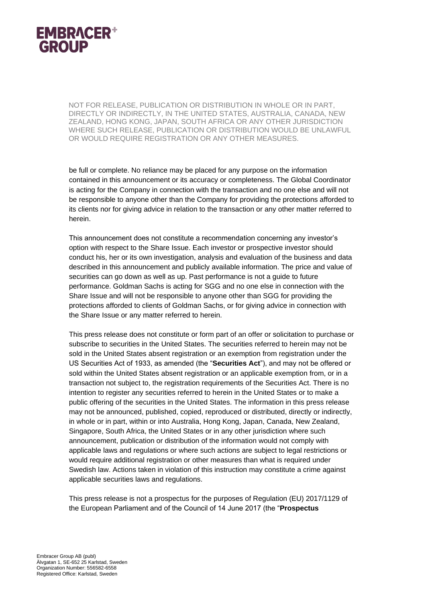

be full or complete. No reliance may be placed for any purpose on the information contained in this announcement or its accuracy or completeness. The Global Coordinator is acting for the Company in connection with the transaction and no one else and will not be responsible to anyone other than the Company for providing the protections afforded to its clients nor for giving advice in relation to the transaction or any other matter referred to herein.

This announcement does not constitute a recommendation concerning any investor's option with respect to the Share Issue. Each investor or prospective investor should conduct his, her or its own investigation, analysis and evaluation of the business and data described in this announcement and publicly available information. The price and value of securities can go down as well as up. Past performance is not a guide to future performance. Goldman Sachs is acting for SGG and no one else in connection with the Share Issue and will not be responsible to anyone other than SGG for providing the protections afforded to clients of Goldman Sachs, or for giving advice in connection with the Share Issue or any matter referred to herein.

This press release does not constitute or form part of an offer or solicitation to purchase or subscribe to securities in the United States. The securities referred to herein may not be sold in the United States absent registration or an exemption from registration under the US Securities Act of 1933, as amended (the "**Securities Act**"), and may not be offered or sold within the United States absent registration or an applicable exemption from, or in a transaction not subject to, the registration requirements of the Securities Act. There is no intention to register any securities referred to herein in the United States or to make a public offering of the securities in the United States. The information in this press release may not be announced, published, copied, reproduced or distributed, directly or indirectly, in whole or in part, within or into Australia, Hong Kong, Japan, Canada, New Zealand, Singapore, South Africa, the United States or in any other jurisdiction where such announcement, publication or distribution of the information would not comply with applicable laws and regulations or where such actions are subject to legal restrictions or would require additional registration or other measures than what is required under Swedish law. Actions taken in violation of this instruction may constitute a crime against applicable securities laws and regulations.

This press release is not a prospectus for the purposes of Regulation (EU) 2017/1129 of the European Parliament and of the Council of 14 June 2017 (the "**Prospectus**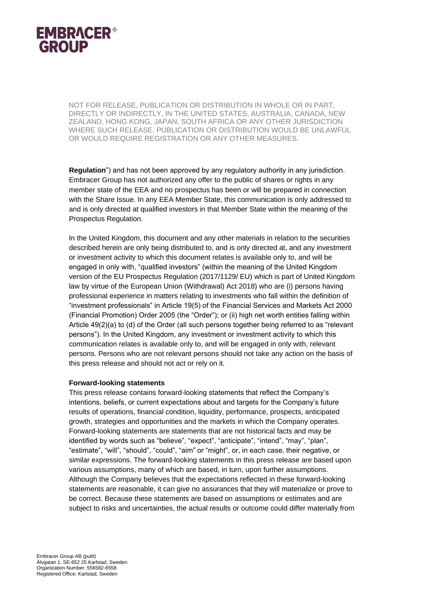

**Regulation**") and has not been approved by any regulatory authority in any jurisdiction. Embracer Group has not authorized any offer to the public of shares or rights in any member state of the EEA and no prospectus has been or will be prepared in connection with the Share Issue. In any EEA Member State, this communication is only addressed to and is only directed at qualified investors in that Member State within the meaning of the Prospectus Regulation.

In the United Kingdom, this document and any other materials in relation to the securities described herein are only being distributed to, and is only directed at, and any investment or investment activity to which this document relates is available only to, and will be engaged in only with, "qualified investors" (within the meaning of the United Kingdom version of the EU Prospectus Regulation (2017/1129/ EU) which is part of United Kingdom law by virtue of the European Union (Withdrawal) Act 2018) who are (i) persons having professional experience in matters relating to investments who fall within the definition of "investment professionals" in Article 19(5) of the Financial Services and Markets Act 2000 (Financial Promotion) Order 2005 (the "Order"); or (ii) high net worth entities falling within Article 49(2)(a) to (d) of the Order (all such persons together being referred to as "relevant persons"). In the United Kingdom, any investment or investment activity to which this communication relates is available only to, and will be engaged in only with, relevant persons. Persons who are not relevant persons should not take any action on the basis of this press release and should not act or rely on it.

#### **Forward-looking statements**

This press release contains forward-looking statements that reflect the Company's intentions, beliefs, or current expectations about and targets for the Company's future results of operations, financial condition, liquidity, performance, prospects, anticipated growth, strategies and opportunities and the markets in which the Company operates. Forward-looking statements are statements that are not historical facts and may be identified by words such as "believe", "expect", "anticipate", "intend", "may", "plan", "estimate", "will", "should", "could", "aim" or "might", or, in each case, their negative, or similar expressions. The forward-looking statements in this press release are based upon various assumptions, many of which are based, in turn, upon further assumptions. Although the Company believes that the expectations reflected in these forward-looking statements are reasonable, it can give no assurances that they will materialize or prove to be correct. Because these statements are based on assumptions or estimates and are subject to risks and uncertainties, the actual results or outcome could differ materially from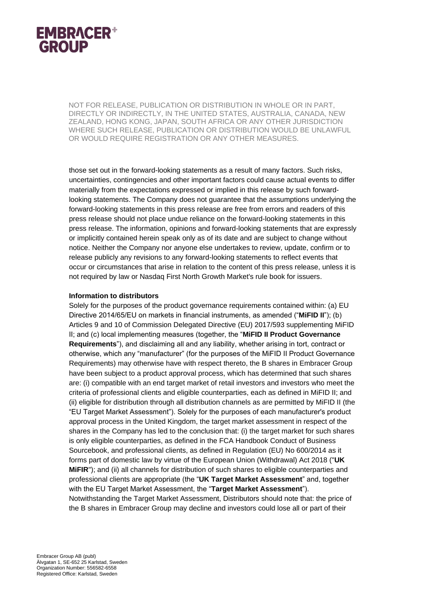# **EMBRACER+** GROUP

NOT FOR RELEASE, PUBLICATION OR DISTRIBUTION IN WHOLE OR IN PART, DIRECTLY OR INDIRECTLY, IN THE UNITED STATES, AUSTRALIA, CANADA, NEW ZEALAND, HONG KONG, JAPAN, SOUTH AFRICA OR ANY OTHER JURISDICTION WHERE SUCH RELEASE, PUBLICATION OR DISTRIBUTION WOULD BE UNLAWFUL OR WOULD REQUIRE REGISTRATION OR ANY OTHER MEASURES.

those set out in the forward-looking statements as a result of many factors. Such risks, uncertainties, contingencies and other important factors could cause actual events to differ materially from the expectations expressed or implied in this release by such forwardlooking statements. The Company does not guarantee that the assumptions underlying the forward-looking statements in this press release are free from errors and readers of this press release should not place undue reliance on the forward-looking statements in this press release. The information, opinions and forward-looking statements that are expressly or implicitly contained herein speak only as of its date and are subject to change without notice. Neither the Company nor anyone else undertakes to review, update, confirm or to release publicly any revisions to any forward-looking statements to reflect events that occur or circumstances that arise in relation to the content of this press release, unless it is not required by law or Nasdaq First North Growth Market's rule book for issuers.

# **Information to distributors**

Solely for the purposes of the product governance requirements contained within: (a) EU Directive 2014/65/EU on markets in financial instruments, as amended ("**MiFID II**"); (b) Articles 9 and 10 of Commission Delegated Directive (EU) 2017/593 supplementing MiFID II; and (c) local implementing measures (together, the "**MiFID II Product Governance Requirements**"), and disclaiming all and any liability, whether arising in tort, contract or otherwise, which any "manufacturer" (for the purposes of the MiFID II Product Governance Requirements) may otherwise have with respect thereto, the B shares in Embracer Group have been subject to a product approval process, which has determined that such shares are: (i) compatible with an end target market of retail investors and investors who meet the criteria of professional clients and eligible counterparties, each as defined in MiFID II; and (ii) eligible for distribution through all distribution channels as are permitted by MiFID II (the "EU Target Market Assessment"). Solely for the purposes of each manufacturer's product approval process in the United Kingdom, the target market assessment in respect of the shares in the Company has led to the conclusion that: (i) the target market for such shares is only eligible counterparties, as defined in the FCA Handbook Conduct of Business Sourcebook, and professional clients, as defined in Regulation (EU) No 600/2014 as it forms part of domestic law by virtue of the European Union (Withdrawal) Act 2018 ("**UK MiFIR**"); and (ii) all channels for distribution of such shares to eligible counterparties and professional clients are appropriate (the "**UK Target Market Assessment**" and, together with the EU Target Market Assessment, the "**Target Market Assessment**"). Notwithstanding the Target Market Assessment, Distributors should note that: the price of the B shares in Embracer Group may decline and investors could lose all or part of their